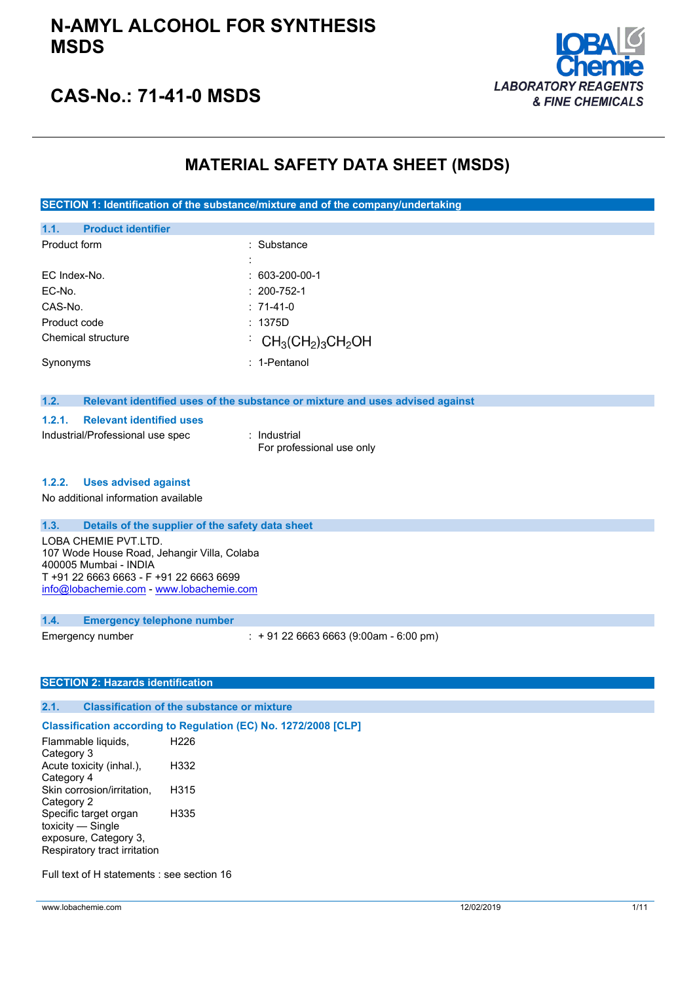## **N-AMYL ALCOHOL FOR SYNTHESIS MSDS**



## **CAS-No.: 71-41-0 MSDS**

## **MATERIAL SAFETY DATA SHEET (MSDS)**

**SECTION 1: Identification of the substance/mixture and of the company/undertaking**

| 1.1.         | <b>Product identifier</b> |   |                                                                            |
|--------------|---------------------------|---|----------------------------------------------------------------------------|
| Product form |                           |   | $:$ Substance                                                              |
|              |                           | ٠ |                                                                            |
| EC Index-No. |                           |   | $: 603 - 200 - 00 - 1$                                                     |
| EC-No.       |                           |   | $: 200 - 752 - 1$                                                          |
| CAS-No.      |                           |   | $: 71-41-0$                                                                |
| Product code |                           |   | : 1375D                                                                    |
|              | Chemical structure        |   | $\cdot$ CH <sub>3</sub> (CH <sub>2</sub> ) <sub>3</sub> CH <sub>2</sub> OH |
| Synonyms     |                           |   | $: 1$ -Pentanol                                                            |

#### **1.2. Relevant identified uses of the substance or mixture and uses advised against**

#### **1.2.1. Relevant identified uses**

| Industrial/Professional use spec | : Industrial              |
|----------------------------------|---------------------------|
|                                  | For professional use only |

#### **1.2.2. Uses advised against**

No additional information available

#### **1.3. Details of the supplier of the safety data sheet**

LOBA CHEMIE PVT.LTD. 107 Wode House Road, Jehangir Villa, Colaba 400005 Mumbai - INDIA T +91 22 6663 6663 - F +91 22 6663 6699 [info@lobachemie.com](mailto:info@lobachemie.com) - <www.lobachemie.com>

#### **1.4. Emergency telephone number**

Emergency number : + 91 22 6663 6663 (9:00am - 6:00 pm)

### **SECTION 2: Hazards identification**

#### **2.1. Classification of the substance or mixture**

#### **Classification according to Regulation (EC) No. 1272/2008 [CLP]**

Flammable liquids, Category 3 H226 Acute toxicity (inhal.), Category 4 H332 Skin corrosion/irritation, Category 2 H315 Specific target organ toxicity — Single exposure, Category 3, Respiratory tract irritation H335

Full text of H statements : see section 16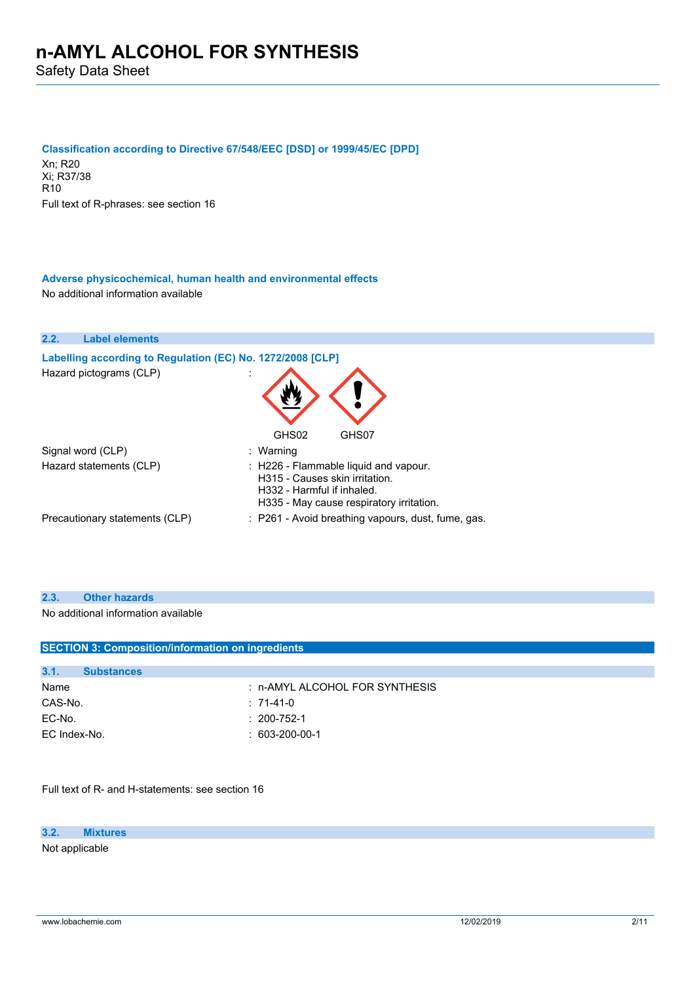Safety Data Sheet

#### **Classification according to Directive 67/548/EEC [DSD] or 1999/45/EC [DPD]**

Xn; R20 Xi; R37/38 R10 Full text of R-phrases: see section 16

### **Adverse physicochemical, human health and environmental effects** No additional information available

| 2.2. | <b>Label elements</b>                                      |                                                                                                                                                   |
|------|------------------------------------------------------------|---------------------------------------------------------------------------------------------------------------------------------------------------|
|      | Labelling according to Regulation (EC) No. 1272/2008 [CLP] |                                                                                                                                                   |
|      | Hazard pictograms (CLP)                                    |                                                                                                                                                   |
|      |                                                            | GHS02<br>GHS07                                                                                                                                    |
|      | Signal word (CLP)                                          | : Warning                                                                                                                                         |
|      | Hazard statements (CLP)                                    | : H226 - Flammable liquid and vapour.<br>H315 - Causes skin irritation.<br>H332 - Harmful if inhaled.<br>H335 - May cause respiratory irritation. |
|      | Precautionary statements (CLP)                             | : P261 - Avoid breathing vapours, dust, fume, gas.                                                                                                |

### **2.3. Other hazards**

No additional information available

| <b>SECTION 3: Composition/information on ingredients</b> |                   |                                |  |
|----------------------------------------------------------|-------------------|--------------------------------|--|
|                                                          |                   |                                |  |
| 3.1.                                                     | <b>Substances</b> |                                |  |
| Name                                                     |                   | : n-AMYL ALCOHOL FOR SYNTHESIS |  |
| CAS-No.                                                  |                   | $:71-41-0$                     |  |
| EC-No.                                                   |                   | $: 200 - 752 - 1$              |  |
| EC Index-No.                                             |                   | $: 603-200-00-1$               |  |
|                                                          |                   |                                |  |

Full text of R- and H-statements: see section 16

**3.2. Mixtures**

Not applicable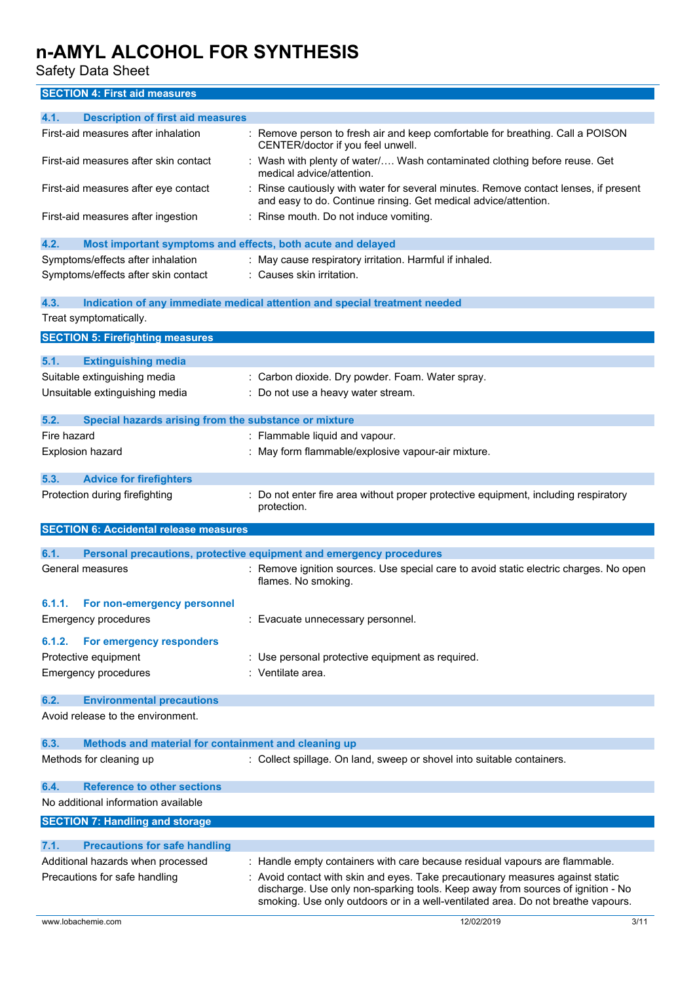Safety Data Sheet

**SECTION 4: First aid measures**

| 4.1.<br><b>Description of first aid measures</b>                    |                                                                                                                                                                                                                                                     |
|---------------------------------------------------------------------|-----------------------------------------------------------------------------------------------------------------------------------------------------------------------------------------------------------------------------------------------------|
| First-aid measures after inhalation                                 | Remove person to fresh air and keep comfortable for breathing. Call a POISON<br>CENTER/doctor if you feel unwell.                                                                                                                                   |
| First-aid measures after skin contact                               | : Wash with plenty of water/ Wash contaminated clothing before reuse. Get<br>medical advice/attention.                                                                                                                                              |
| First-aid measures after eye contact                                | Rinse cautiously with water for several minutes. Remove contact lenses, if present<br>and easy to do. Continue rinsing. Get medical advice/attention.                                                                                               |
| First-aid measures after ingestion                                  | : Rinse mouth. Do not induce vomiting.                                                                                                                                                                                                              |
| 4.2.<br>Most important symptoms and effects, both acute and delayed |                                                                                                                                                                                                                                                     |
| Symptoms/effects after inhalation                                   | : May cause respiratory irritation. Harmful if inhaled.                                                                                                                                                                                             |
| Symptoms/effects after skin contact                                 | Causes skin irritation.                                                                                                                                                                                                                             |
| 4.3.                                                                | Indication of any immediate medical attention and special treatment needed                                                                                                                                                                          |
| Treat symptomatically.                                              |                                                                                                                                                                                                                                                     |
| <b>SECTION 5: Firefighting measures</b>                             |                                                                                                                                                                                                                                                     |
| 5.1.<br><b>Extinguishing media</b>                                  |                                                                                                                                                                                                                                                     |
| Suitable extinguishing media                                        | Carbon dioxide. Dry powder. Foam. Water spray.                                                                                                                                                                                                      |
| Unsuitable extinguishing media                                      | : Do not use a heavy water stream.                                                                                                                                                                                                                  |
| 5.2.<br>Special hazards arising from the substance or mixture       |                                                                                                                                                                                                                                                     |
| Fire hazard                                                         | : Flammable liquid and vapour.                                                                                                                                                                                                                      |
| Explosion hazard                                                    | : May form flammable/explosive vapour-air mixture.                                                                                                                                                                                                  |
| 5.3.<br><b>Advice for firefighters</b>                              |                                                                                                                                                                                                                                                     |
| Protection during firefighting                                      | Do not enter fire area without proper protective equipment, including respiratory<br>protection.                                                                                                                                                    |
| <b>SECTION 6: Accidental release measures</b>                       |                                                                                                                                                                                                                                                     |
| 6.1.                                                                | Personal precautions, protective equipment and emergency procedures                                                                                                                                                                                 |
| General measures                                                    | : Remove ignition sources. Use special care to avoid static electric charges. No open<br>flames. No smoking.                                                                                                                                        |
| 6.1.1.<br>For non-emergency personnel                               |                                                                                                                                                                                                                                                     |
| <b>Emergency procedures</b>                                         | : Evacuate unnecessary personnel.                                                                                                                                                                                                                   |
| For emergency responders<br>6.1.2.                                  |                                                                                                                                                                                                                                                     |
| Protective equipment                                                | : Use personal protective equipment as required.                                                                                                                                                                                                    |
| Emergency procedures                                                | : Ventilate area.                                                                                                                                                                                                                                   |
| <b>Environmental precautions</b><br>6.2.                            |                                                                                                                                                                                                                                                     |
| Avoid release to the environment.                                   |                                                                                                                                                                                                                                                     |
| 6.3.<br>Methods and material for containment and cleaning up        |                                                                                                                                                                                                                                                     |
| Methods for cleaning up                                             | : Collect spillage. On land, sweep or shovel into suitable containers.                                                                                                                                                                              |
| <b>Reference to other sections</b><br>6.4.                          |                                                                                                                                                                                                                                                     |
| No additional information available                                 |                                                                                                                                                                                                                                                     |
| <b>SECTION 7: Handling and storage</b>                              |                                                                                                                                                                                                                                                     |
| 7.1.<br><b>Precautions for safe handling</b>                        |                                                                                                                                                                                                                                                     |
| Additional hazards when processed                                   | : Handle empty containers with care because residual vapours are flammable.                                                                                                                                                                         |
| Precautions for safe handling                                       | Avoid contact with skin and eyes. Take precautionary measures against static<br>discharge. Use only non-sparking tools. Keep away from sources of ignition - No<br>smoking. Use only outdoors or in a well-ventilated area. Do not breathe vapours. |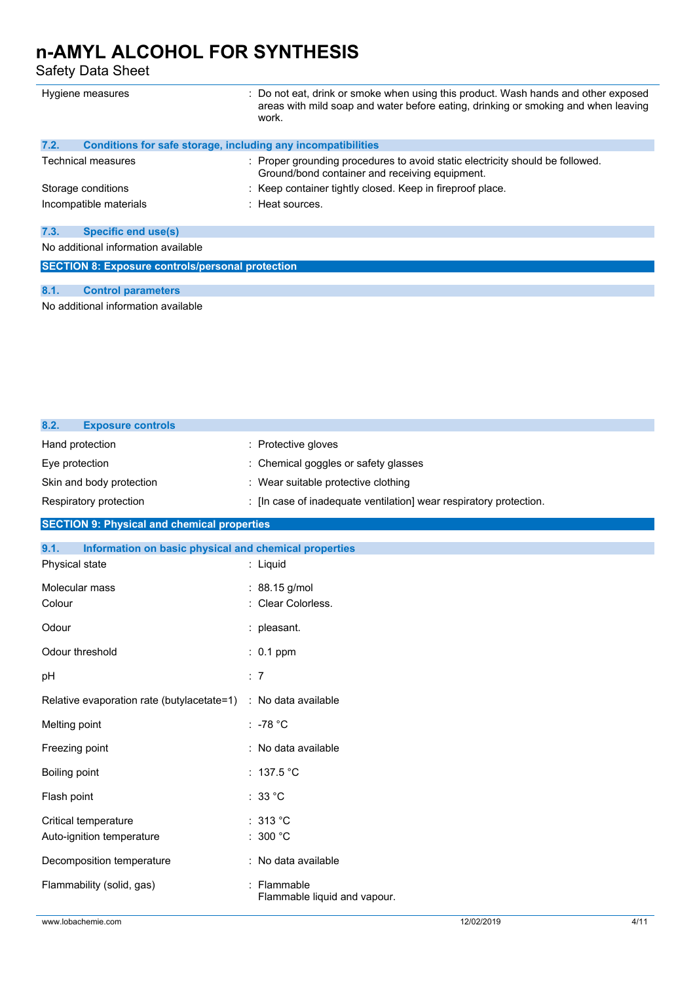Safety Data Sheet

| Hygiene measures                                                     | : Do not eat, drink or smoke when using this product. Wash hands and other exposed<br>areas with mild soap and water before eating, drinking or smoking and when leaving<br>work. |
|----------------------------------------------------------------------|-----------------------------------------------------------------------------------------------------------------------------------------------------------------------------------|
| 7.2.<br>Conditions for safe storage, including any incompatibilities |                                                                                                                                                                                   |
| <b>Technical measures</b>                                            | : Proper grounding procedures to avoid static electricity should be followed.<br>Ground/bond container and receiving equipment.                                                   |
| Storage conditions                                                   | : Keep container tightly closed. Keep in fireproof place.                                                                                                                         |
| Incompatible materials                                               | $:$ Heat sources.                                                                                                                                                                 |
| 7.3.<br><b>Specific end use(s)</b>                                   |                                                                                                                                                                                   |
| No additional information available                                  |                                                                                                                                                                                   |
| <b>SECTION 8: Exposure controls/personal protection</b>              |                                                                                                                                                                                   |

### **8.1. Control parameters**

No additional information available

| 8.2.<br><b>Exposure controls</b>                   |                                                                  |  |
|----------------------------------------------------|------------------------------------------------------------------|--|
| Hand protection                                    | : Protective gloves                                              |  |
| Eye protection                                     | : Chemical goggles or safety glasses                             |  |
| Skin and body protection                           | : Wear suitable protective clothing                              |  |
| Respiratory protection                             | : In case of inadequate ventilation wear respiratory protection. |  |
| <b>SECTION 9: Physical and chemical properties</b> |                                                                  |  |

| Information on basic physical and chemical properties<br>9.1. |                                             |            |      |
|---------------------------------------------------------------|---------------------------------------------|------------|------|
| Physical state                                                | : Liquid                                    |            |      |
| Molecular mass                                                | : 88.15 g/mol                               |            |      |
| Colour                                                        | : Clear Colorless.                          |            |      |
| Odour                                                         | : pleasant.                                 |            |      |
| Odour threshold                                               | $: 0.1$ ppm                                 |            |      |
| pH                                                            | : 7                                         |            |      |
| Relative evaporation rate (butylacetate=1)                    | : No data available                         |            |      |
| Melting point                                                 | : -78 $^{\circ}$ C                          |            |      |
| Freezing point                                                | : No data available                         |            |      |
| Boiling point                                                 | : $137.5$ °C                                |            |      |
| Flash point                                                   | : 33 °C                                     |            |      |
| Critical temperature                                          | : 313 °C                                    |            |      |
| Auto-ignition temperature                                     | : 300 $^{\circ}$ C                          |            |      |
| Decomposition temperature                                     | : No data available                         |            |      |
| Flammability (solid, gas)                                     | : Flammable<br>Flammable liquid and vapour. |            |      |
| www.lobachemie.com                                            |                                             | 12/02/2019 | 4/11 |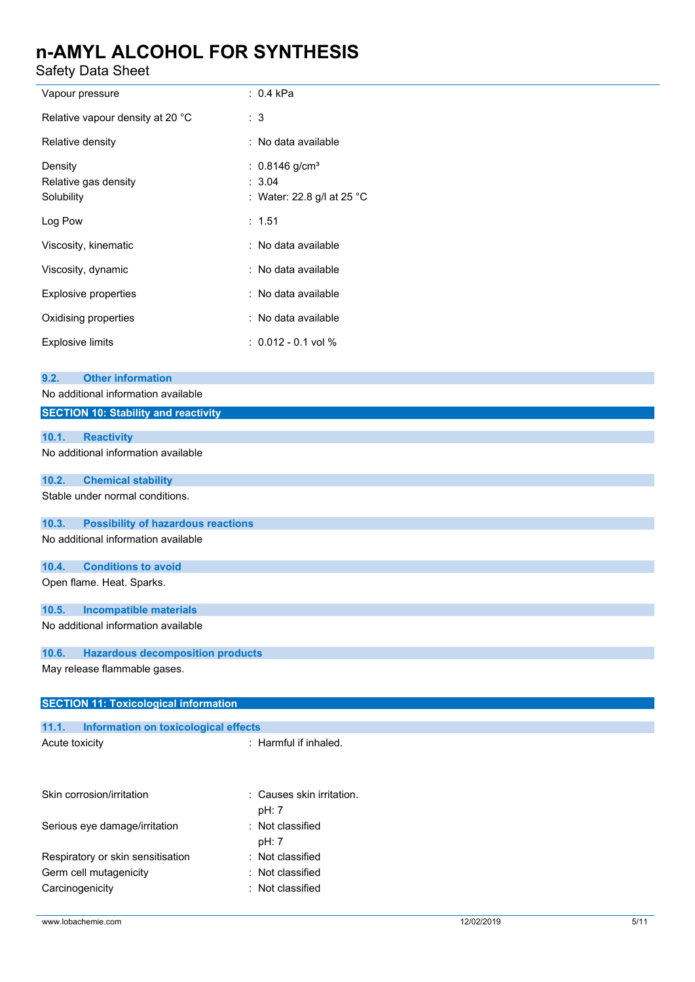Safety Data Sheet

| parety Data Sheet                                                                                                      |                                                                      |
|------------------------------------------------------------------------------------------------------------------------|----------------------------------------------------------------------|
| Vapour pressure                                                                                                        | $: 0.4$ kPa                                                          |
| Relative vapour density at 20 °C                                                                                       | : 3                                                                  |
| Relative density                                                                                                       | : No data available                                                  |
| Density<br>Relative gas density<br>Solubility                                                                          | : $0.8146$ g/cm <sup>3</sup><br>: 3.04<br>: Water: 22.8 g/l at 25 °C |
| Log Pow                                                                                                                | : 1.51                                                               |
| Viscosity, kinematic                                                                                                   | : No data available                                                  |
| Viscosity, dynamic                                                                                                     | : No data available                                                  |
| <b>Explosive properties</b>                                                                                            | : No data available                                                  |
| Oxidising properties                                                                                                   | : No data available                                                  |
| <b>Explosive limits</b>                                                                                                | $: 0.012 - 0.1$ vol %                                                |
| <b>Other information</b><br>9.2.<br>No additional information available<br><b>SECTION 10: Stability and reactivity</b> |                                                                      |
|                                                                                                                        |                                                                      |
| 10.1.<br><b>Reactivity</b>                                                                                             |                                                                      |
| No additional information available                                                                                    |                                                                      |
| 10.2.<br><b>Chemical stability</b>                                                                                     |                                                                      |
| Stable under normal conditions.                                                                                        |                                                                      |
| 10.3.<br><b>Possibility of hazardous reactions</b>                                                                     |                                                                      |
| No additional information available                                                                                    |                                                                      |
| <b>Conditions to avoid</b><br>10.4.                                                                                    |                                                                      |
| Open flame. Heat. Sparks.                                                                                              |                                                                      |
| <b>Incompatible materials</b><br>10.5.                                                                                 |                                                                      |
| No additional information available                                                                                    |                                                                      |
| 10.6.<br><b>Hazardous decomposition products</b>                                                                       |                                                                      |
| May release flammable gases.                                                                                           |                                                                      |
| <b>SECTION 11: Toxicological information</b>                                                                           |                                                                      |
| 11.1.<br>Information on toxicological effects                                                                          |                                                                      |
| Acute toxicity                                                                                                         | : Harmful if inhaled.                                                |
| Skin corrosion/irritation                                                                                              | Causes skin irritation.<br>pH: 7                                     |
| Serious eye damage/irritation                                                                                          | : Not classified                                                     |

pH: 7 Respiratory or skin sensitisation : Not classified Germ cell mutagenicity **in the COV** classified Carcinogenicity **Carcinogenicity 1989**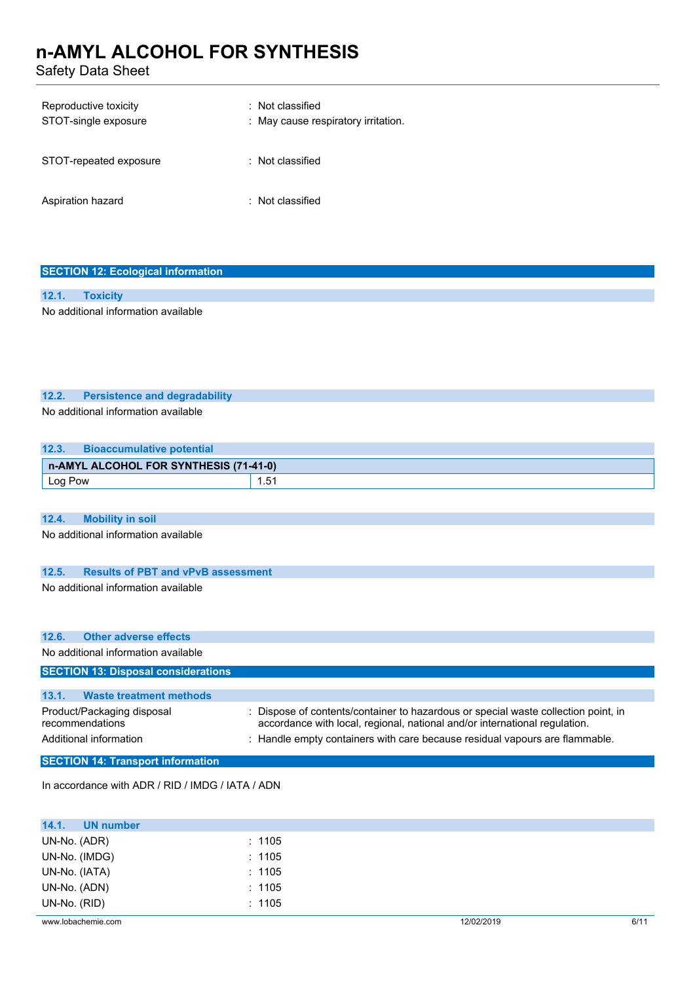Safety Data Sheet

| Reproductive toxicity<br>STOT-single exposure | : Not classified<br>: May cause respiratory irritation. |
|-----------------------------------------------|---------------------------------------------------------|
| STOT-repeated exposure                        | : Not classified                                        |
| Aspiration hazard                             | : Not classified                                        |

| <b>SECTION 12: Ecological information</b> |                                     |  |
|-------------------------------------------|-------------------------------------|--|
|                                           |                                     |  |
| 12.1.                                     | <b>Toxicity</b>                     |  |
|                                           | No additional information available |  |

### **12.2. Persistence and degradability**

No additional information available

| 12.3.   | <b>Bioaccumulative potential</b>       |      |
|---------|----------------------------------------|------|
|         | n-AMYL ALCOHOL FOR SYNTHESIS (71-41-0) |      |
| Log Pow |                                        | 1.51 |
|         |                                        |      |

### **12.4. Mobility in soil**

No additional information available

## **12.5. Results of PBT and vPvB assessment**

No additional information available

| 12.6.<br>Other adverse effects                |                                                                                                                                                                  |
|-----------------------------------------------|------------------------------------------------------------------------------------------------------------------------------------------------------------------|
| No additional information available           |                                                                                                                                                                  |
| <b>SECTION 13: Disposal considerations</b>    |                                                                                                                                                                  |
|                                               |                                                                                                                                                                  |
| 13.1.<br><b>Waste treatment methods</b>       |                                                                                                                                                                  |
| Product/Packaging disposal<br>recommendations | : Dispose of contents/container to hazardous or special waste collection point, in<br>accordance with local, regional, national and/or international regulation. |
| Additional information                        | Handle empty containers with care because residual vapours are flammable.                                                                                        |
| <b>SECTION 14: Transport information</b>      |                                                                                                                                                                  |

In accordance with ADR / RID / IMDG / IATA / ADN

| 14.1.<br><b>UN number</b> |        |            |      |
|---------------------------|--------|------------|------|
| UN-No. (ADR)              | : 1105 |            |      |
| UN-No. (IMDG)             | : 1105 |            |      |
| UN-No. (IATA)             | : 1105 |            |      |
| UN-No. (ADN)              | : 1105 |            |      |
| UN-No. (RID)              | : 1105 |            |      |
| www.lobachemie.com        |        | 12/02/2019 | 6/11 |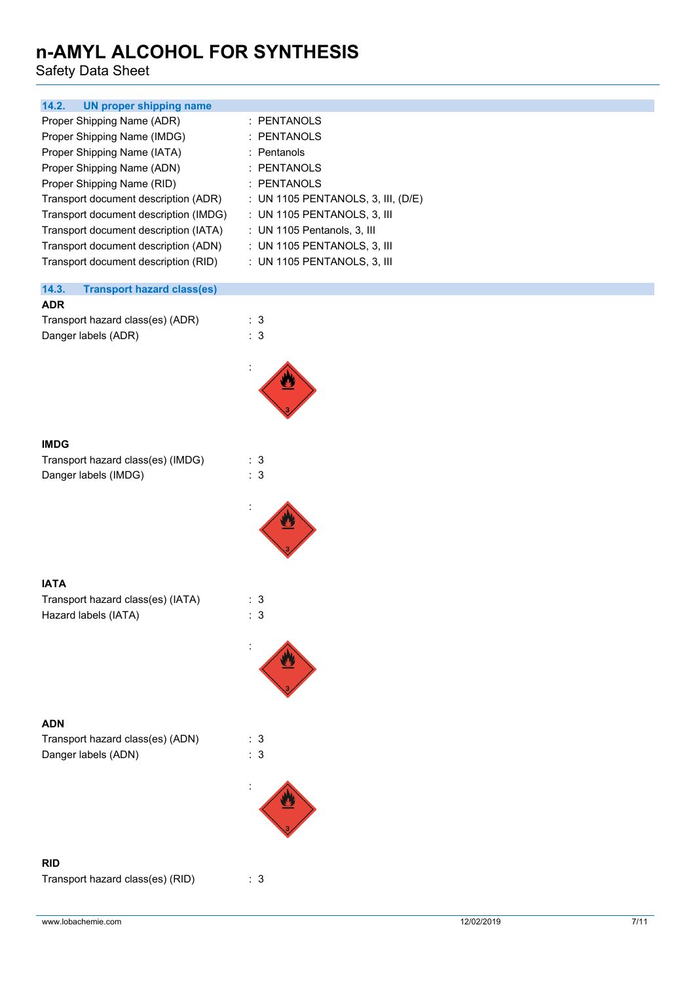Safety Data Sheet

| 14.2.<br><b>UN proper shipping name</b>                                                                                                                                                                                                                                                                                                                        |                                                                                                                                                                                                                                           |
|----------------------------------------------------------------------------------------------------------------------------------------------------------------------------------------------------------------------------------------------------------------------------------------------------------------------------------------------------------------|-------------------------------------------------------------------------------------------------------------------------------------------------------------------------------------------------------------------------------------------|
| Proper Shipping Name (ADR)<br>Proper Shipping Name (IMDG)<br>Proper Shipping Name (IATA)<br>Proper Shipping Name (ADN)<br>Proper Shipping Name (RID)<br>Transport document description (ADR)<br>Transport document description (IMDG)<br>Transport document description (IATA)<br>Transport document description (ADN)<br>Transport document description (RID) | : PENTANOLS<br>: PENTANOLS<br>: Pentanols<br>: PENTANOLS<br>: PENTANOLS<br>: UN 1105 PENTANOLS, 3, III, (D/E)<br>: UN 1105 PENTANOLS, 3, III<br>: UN 1105 Pentanols, 3, III<br>: UN 1105 PENTANOLS, 3, III<br>: UN 1105 PENTANOLS, 3, III |
| 14.3.<br><b>Transport hazard class(es)</b>                                                                                                                                                                                                                                                                                                                     |                                                                                                                                                                                                                                           |
| <b>ADR</b><br>Transport hazard class(es) (ADR)<br>Danger labels (ADR)                                                                                                                                                                                                                                                                                          | : 3<br>: 3                                                                                                                                                                                                                                |
|                                                                                                                                                                                                                                                                                                                                                                |                                                                                                                                                                                                                                           |
| <b>IMDG</b>                                                                                                                                                                                                                                                                                                                                                    |                                                                                                                                                                                                                                           |
| Transport hazard class(es) (IMDG)<br>Danger labels (IMDG)                                                                                                                                                                                                                                                                                                      | : 3<br>: 3                                                                                                                                                                                                                                |
|                                                                                                                                                                                                                                                                                                                                                                |                                                                                                                                                                                                                                           |
| <b>IATA</b>                                                                                                                                                                                                                                                                                                                                                    |                                                                                                                                                                                                                                           |
| Transport hazard class(es) (IATA)<br>Hazard labels (IATA)                                                                                                                                                                                                                                                                                                      | : 3<br>: 3                                                                                                                                                                                                                                |
|                                                                                                                                                                                                                                                                                                                                                                |                                                                                                                                                                                                                                           |
|                                                                                                                                                                                                                                                                                                                                                                |                                                                                                                                                                                                                                           |
| <b>ADN</b>                                                                                                                                                                                                                                                                                                                                                     |                                                                                                                                                                                                                                           |
| Transport hazard class(es) (ADN)<br>Danger labels (ADN)                                                                                                                                                                                                                                                                                                        | : 3<br>: 3                                                                                                                                                                                                                                |
|                                                                                                                                                                                                                                                                                                                                                                |                                                                                                                                                                                                                                           |
| <b>RID</b><br>Transport hazard class(es) (RID)                                                                                                                                                                                                                                                                                                                 | : 3                                                                                                                                                                                                                                       |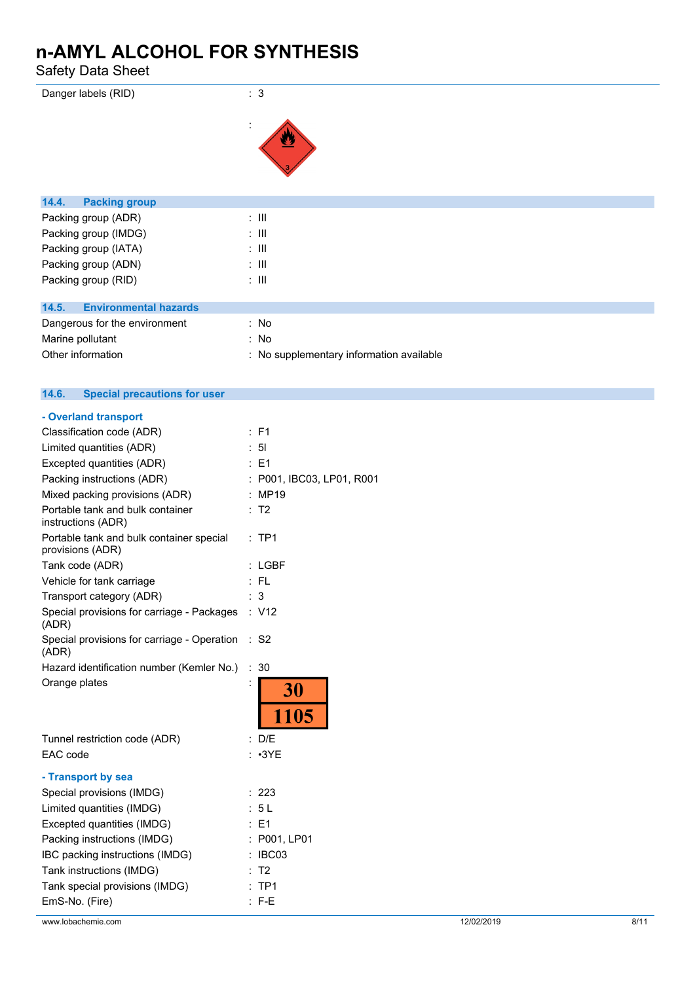Safety Data Sheet

| Danger labels (RID)                   | : 3              |
|---------------------------------------|------------------|
|                                       | ÷                |
| 14.4.<br><b>Packing group</b>         |                  |
| Packing group (ADR)                   | $\therefore$ III |
| Packing group (IMDG)                  | $\therefore$ III |
| Packing group (IATA)                  | $\therefore$ III |
| Packing group (ADN)                   | $\therefore$ III |
| Packing group (RID)                   | $\therefore$ III |
|                                       |                  |
| <b>Environmental hazards</b><br>14.5. |                  |

| Dangerous for the environment | - No                                     |
|-------------------------------|------------------------------------------|
| Marine pollutant              | - No                                     |
| Other information             | : No supplementary information available |

| 14.6.<br><b>Special precautions for user</b>                 |                                        |
|--------------------------------------------------------------|----------------------------------------|
| - Overland transport                                         |                                        |
| Classification code (ADR)                                    | : F1                                   |
| Limited quantities (ADR)                                     | : 51                                   |
| Excepted quantities (ADR)                                    | $E = 1$                                |
| Packing instructions (ADR)                                   | P001, IBC03, LP01, R001                |
| Mixed packing provisions (ADR)                               | : MP19                                 |
| Portable tank and bulk container<br>instructions (ADR)       | : T2                                   |
| Portable tank and bulk container special<br>provisions (ADR) | $:$ TP1                                |
| Tank code (ADR)                                              | $:$ LGBF                               |
| Vehicle for tank carriage                                    | $:$ FL                                 |
| Transport category (ADR)                                     | 3                                      |
| Special provisions for carriage - Packages<br>(ADR)          | : V12                                  |
| Special provisions for carriage - Operation<br>(ADR)         | $\ddot{\phantom{a}}$<br>S <sub>2</sub> |
| Hazard identification number (Kemler No.)                    | $\ddot{\phantom{a}}$<br>30             |
| Orange plates                                                | <b>30</b>                              |
|                                                              | 1105                                   |
| Tunnel restriction code (ADR)                                | : D/E                                  |
| EAC code                                                     | : ∙3YE                                 |
| - Transport by sea                                           |                                        |
| Special provisions (IMDG)                                    | : 223                                  |
| Limited quantities (IMDG)                                    | : 5L                                   |
| Excepted quantities (IMDG)                                   | : E1                                   |
| Packing instructions (IMDG)                                  | : P001, LP01                           |
| IBC packing instructions (IMDG)                              | IBC03<br>$\ddot{\cdot}$                |
| Tank instructions (IMDG)                                     | T <sub>2</sub>                         |
| Tank special provisions (IMDG)                               | $:$ TP1                                |
| EmS-No. (Fire)                                               | $F-E$                                  |

### www.lobachemie.com 3/11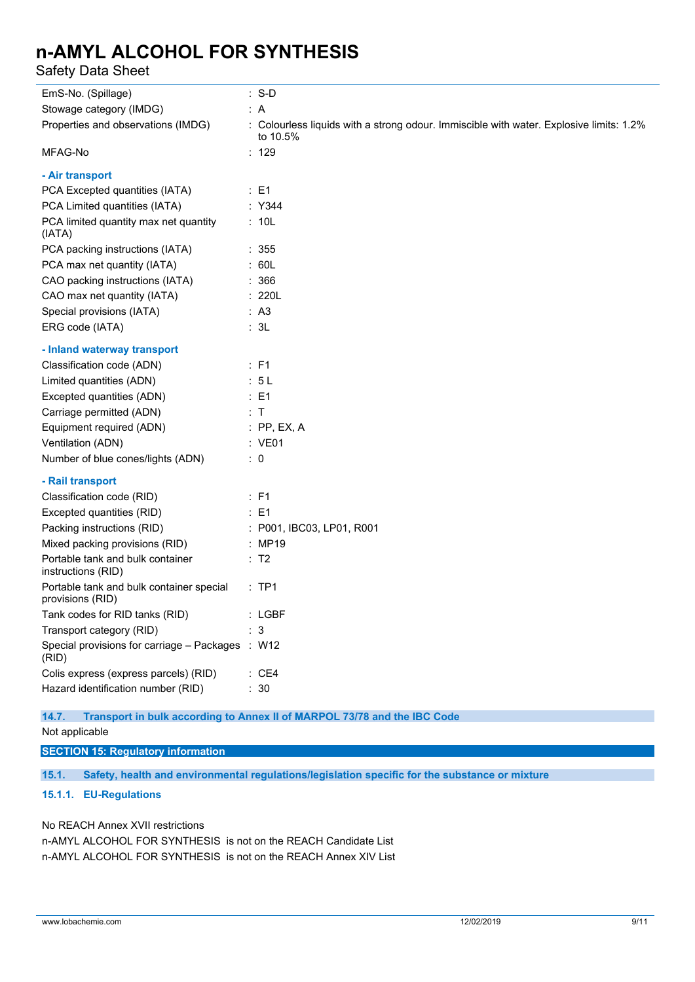Safety Data Sheet

| EmS-No. (Spillage)                                           | $: S-D$                                                                                             |
|--------------------------------------------------------------|-----------------------------------------------------------------------------------------------------|
| Stowage category (IMDG)                                      | : A                                                                                                 |
| Properties and observations (IMDG)                           | : Colourless liquids with a strong odour. Immiscible with water. Explosive limits: 1.2%<br>to 10.5% |
| MFAG-No                                                      | : 129                                                                                               |
| - Air transport                                              |                                                                                                     |
| PCA Excepted quantities (IATA)                               | $\therefore$ E1                                                                                     |
| PCA Limited quantities (IATA)                                | : Y344                                                                                              |
| PCA limited quantity max net quantity<br>(IATA)              | : 10L                                                                                               |
| PCA packing instructions (IATA)                              | : 355                                                                                               |
| PCA max net quantity (IATA)                                  | : 60L                                                                                               |
| CAO packing instructions (IATA)                              | : 366                                                                                               |
| CAO max net quantity (IATA)                                  | : 220L                                                                                              |
| Special provisions (IATA)                                    | : A3                                                                                                |
| ERG code (IATA)                                              | : 3L                                                                                                |
| - Inland waterway transport                                  |                                                                                                     |
| Classification code (ADN)                                    | $\therefore$ F1                                                                                     |
| Limited quantities (ADN)                                     | : 5L                                                                                                |
| Excepted quantities (ADN)                                    | $\therefore$ E1                                                                                     |
| Carriage permitted (ADN)                                     | $\therefore$ T                                                                                      |
| Equipment required (ADN)                                     | $:$ PP, EX, A                                                                                       |
| Ventilation (ADN)                                            | : VE01                                                                                              |
| Number of blue cones/lights (ADN)                            | $\therefore$ 0                                                                                      |
| - Rail transport                                             |                                                                                                     |
| Classification code (RID)                                    | $\therefore$ F1                                                                                     |
| Excepted quantities (RID)                                    | $\therefore$ E1                                                                                     |
| Packing instructions (RID)                                   | : P001, IBC03, LP01, R001                                                                           |
| Mixed packing provisions (RID)                               | : MP19                                                                                              |
| Portable tank and bulk container<br>instructions (RID)       | $\therefore$ T2                                                                                     |
| Portable tank and bulk container special<br>provisions (RID) | $:$ TP1                                                                                             |
| Tank codes for RID tanks (RID)                               | : LGBF                                                                                              |
| Transport category (RID)                                     | $\mathbf{3}$                                                                                        |
| Special provisions for carriage - Packages : W12<br>(RID)    |                                                                                                     |
| Colis express (express parcels) (RID)                        | : CE4                                                                                               |
| Hazard identification number (RID)                           | : 30                                                                                                |

### **14.7. Transport in bulk according to Annex II of MARPOL 73/78 and the IBC Code**

Not applicable

### **SECTION 15: Regulatory information**

**15.1. Safety, health and environmental regulations/legislation specific for the substance or mixture**

### **15.1.1. EU-Regulations**

No REACH Annex XVII restrictions

n-AMYL ALCOHOL FOR SYNTHESIS is not on the REACH Candidate List n-AMYL ALCOHOL FOR SYNTHESIS is not on the REACH Annex XIV List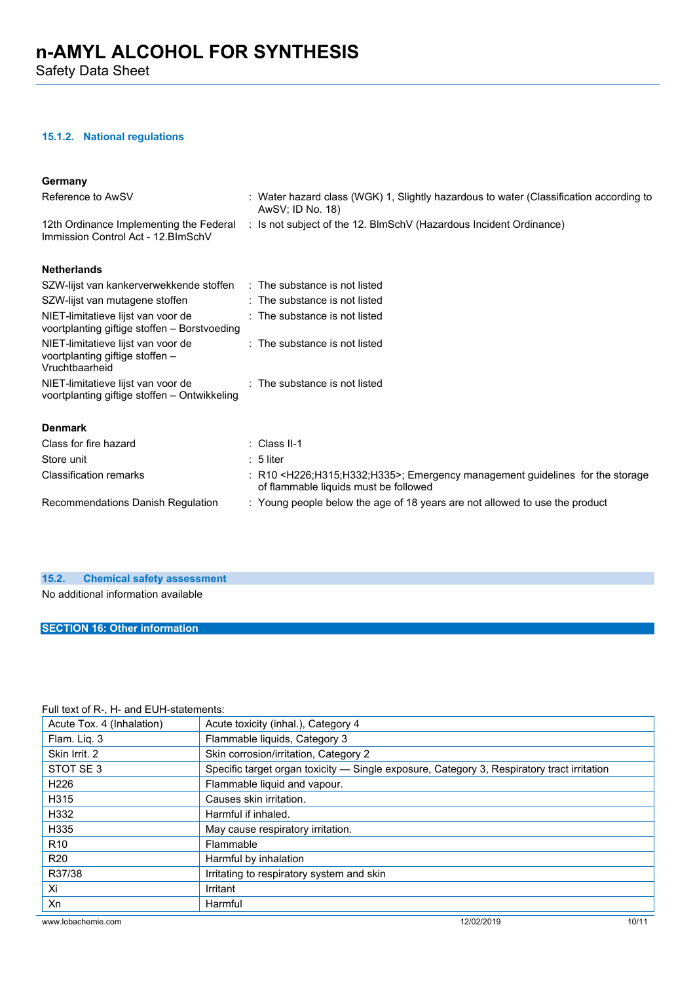### **15.1.2. National regulations**

#### **Germany**

| Reference to AwSV                                                                       | : Water hazard class (WGK) 1, Slightly hazardous to water (Classification according to<br>AwSV; ID No. 18)                                   |
|-----------------------------------------------------------------------------------------|----------------------------------------------------------------------------------------------------------------------------------------------|
| 12th Ordinance Implementing the Federal<br>Immission Control Act - 12. BlmSchV          | : Is not subject of the 12. BlmSchV (Hazardous Incident Ordinance)                                                                           |
| <b>Netherlands</b>                                                                      |                                                                                                                                              |
| SZW-lijst van kankerverwekkende stoffen                                                 | : The substance is not listed                                                                                                                |
| SZW-lijst van mutagene stoffen                                                          | : The substance is not listed                                                                                                                |
| NIET-limitatieve lijst van voor de<br>voortplanting giftige stoffen – Borstvoeding      | : The substance is not listed                                                                                                                |
| NIET-limitatieve lijst van voor de<br>voortplanting giftige stoffen -<br>Vruchtbaarheid | $\therefore$ The substance is not listed                                                                                                     |
| NIET-limitatieve lijst van voor de<br>voortplanting giftige stoffen – Ontwikkeling      | : The substance is not listed                                                                                                                |
| <b>Denmark</b>                                                                          |                                                                                                                                              |
| Class for fire hazard                                                                   | $\therefore$ Class II-1                                                                                                                      |
| Store unit                                                                              | $: 5$ liter                                                                                                                                  |
| <b>Classification remarks</b>                                                           | : R10 <h226;h315;h332;h335>; Emergency management guidelines for the storage<br/>of flammable liquids must be followed</h226;h315;h332;h335> |
| Recommendations Danish Regulation                                                       | : Young people below the age of 18 years are not allowed to use the product                                                                  |

### **15.2. Chemical safety assessment**

No additional information available

### **SECTION 16: Other information**

### Full text of R-, H- and EUH-statements:

| Acute Tox. 4 (Inhalation) | Acute toxicity (inhal.), Category 4                                                        |       |  |
|---------------------------|--------------------------------------------------------------------------------------------|-------|--|
| Flam. Lig. 3              | Flammable liquids, Category 3                                                              |       |  |
| Skin Irrit. 2             | Skin corrosion/irritation, Category 2                                                      |       |  |
| STOT SE3                  | Specific target organ toxicity — Single exposure, Category 3, Respiratory tract irritation |       |  |
| H <sub>226</sub>          | Flammable liquid and vapour.                                                               |       |  |
| H315                      | Causes skin irritation.                                                                    |       |  |
| H332                      | Harmful if inhaled.                                                                        |       |  |
| H335                      | May cause respiratory irritation.                                                          |       |  |
| R <sub>10</sub>           | Flammable                                                                                  |       |  |
| <b>R20</b>                | Harmful by inhalation                                                                      |       |  |
| R37/38                    | Irritating to respiratory system and skin                                                  |       |  |
| Xi                        | Irritant                                                                                   |       |  |
| Xn                        | Harmful                                                                                    |       |  |
| www.lobachemie.com        | 12/02/2019                                                                                 | 10/11 |  |